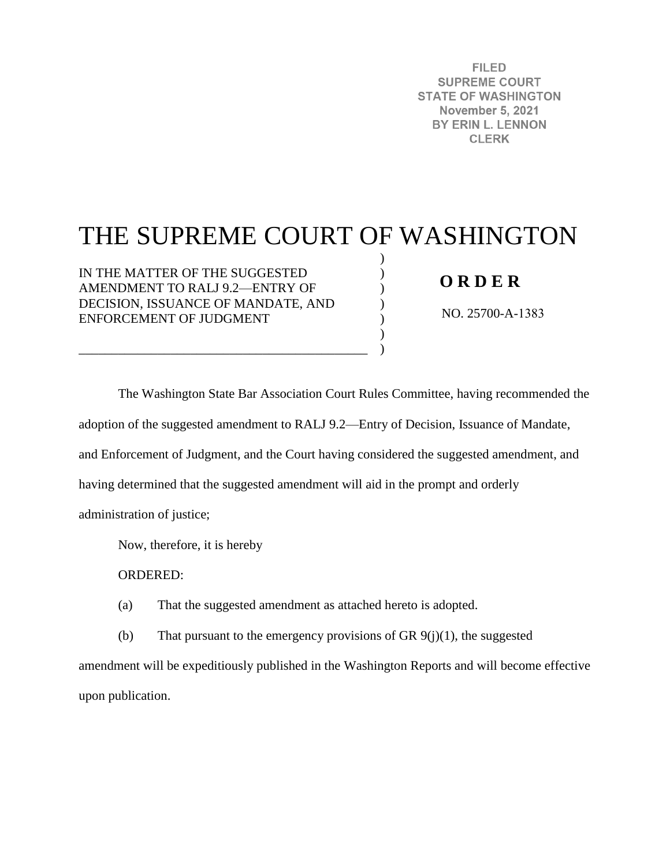**FILED SUPREME COURT STATE OF WASHINGTON November 5, 2021** BY ERIN L. LENNON **CLERK** 

# THE SUPREME COURT OF WASHINGTON

) ) ) ) ) ) )

IN THE MATTER OF THE SUGGESTED AMENDMENT TO RALJ 9.2—ENTRY OF DECISION, ISSUANCE OF MANDATE, AND ENFORCEMENT OF JUDGMENT

\_\_\_\_\_\_\_\_\_\_\_\_\_\_\_\_\_\_\_\_\_\_\_\_\_\_\_\_\_\_\_\_\_\_\_\_\_\_\_\_\_\_\_\_

## **O R D E R**

NO. 25700-A-1383

The Washington State Bar Association Court Rules Committee, having recommended the adoption of the suggested amendment to RALJ 9.2—Entry of Decision, Issuance of Mandate, and Enforcement of Judgment, and the Court having considered the suggested amendment, and having determined that the suggested amendment will aid in the prompt and orderly administration of justice;

Now, therefore, it is hereby

ORDERED:

(a) That the suggested amendment as attached hereto is adopted.

(b) That pursuant to the emergency provisions of GR  $9(j)(1)$ , the suggested

amendment will be expeditiously published in the Washington Reports and will become effective upon publication.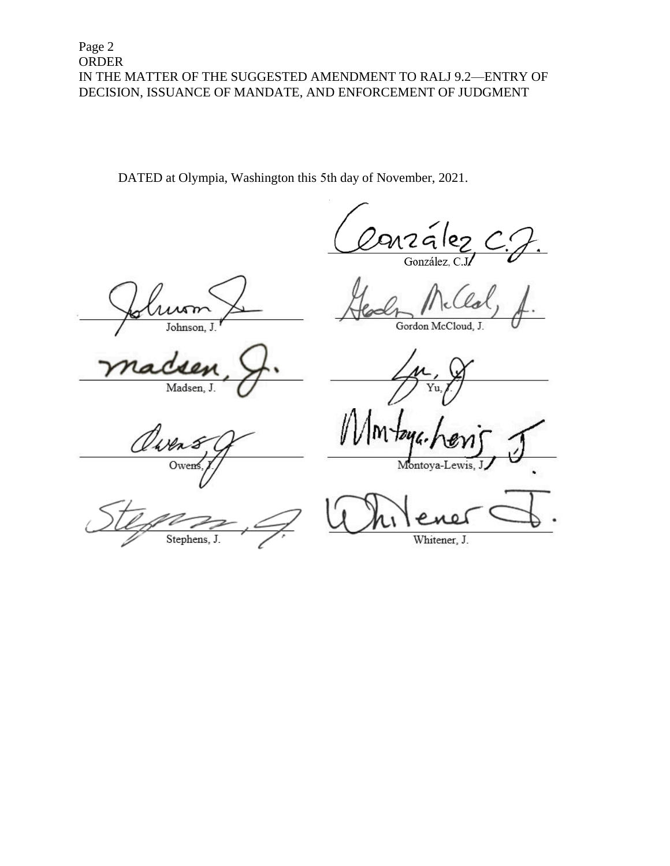DATED at Olympia, Washington this 5th day of November, 2021.

nzález González, C.J.

Λm Johnson.

Madsen, J.

Gordon McCloud, J.

Yu

Owen

Stephens, J

Montoya-Lewis, J

 $\mathbf{I}$ 

Whitener, J.